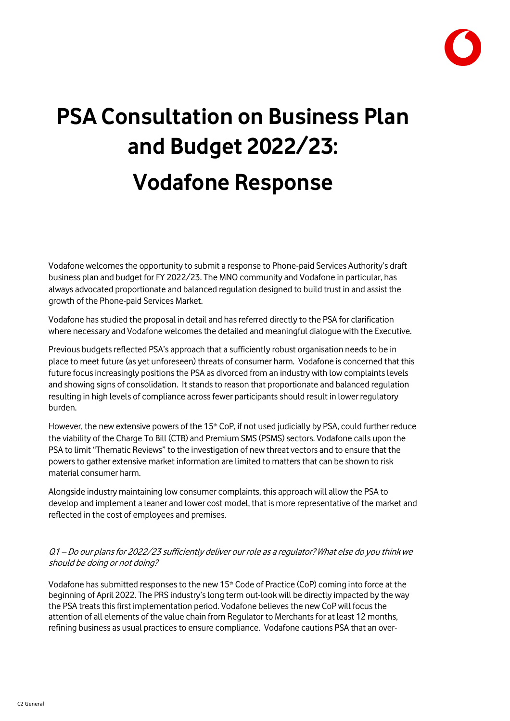

# **PSA Consultation on Business Plan and Budget 2022/23: Vodafone Response**

Vodafone welcomes the opportunity to submit a response to Phone-paid Services Authority's draft business plan and budget for FY 2022/23. The MNO community and Vodafone in particular, has always advocated proportionate and balanced regulation designed to build trust in and assist the growth of the Phone-paid Services Market.

Vodafone has studied the proposal in detail and has referred directly to the PSA for clarification where necessary and Vodafone welcomes the detailed and meaningful dialogue with the Executive.

Previous budgets reflected PSA's approach that a sufficiently robust organisation needs to be in place to meet future (as yet unforeseen) threats of consumer harm. Vodafone is concerned that this future focus increasingly positions the PSA as divorced from an industry with low complaints levels and showing signs of consolidation. It stands to reason that proportionate and balanced regulation resulting in high levels of compliance across fewer participants should result in lower regulatory burden.

However, the new extensive powers of the 15<sup>th</sup> CoP, if not used judicially by PSA, could further reduce the viability of the Charge To Bill (CTB) and Premium SMS (PSMS) sectors. Vodafone calls upon the PSA to limit "Thematic Reviews" to the investigation of new threat vectors and to ensure that the powers to gather extensive market information are limited to matters that can be shown to risk material consumer harm.

Alongside industry maintaining low consumer complaints, this approach will allow the PSA to develop and implement a leaner and lower cost model, that is more representative of the market and reflected in the cost of employees and premises.

#### Q1 – Do our plans for 2022/23 sufficiently deliver our role as a regulator? What else do you think we should be doing or not doing?

Vodafone has submitted responses to the new 15<sup>th</sup> Code of Practice (CoP) coming into force at the beginning of April 2022. The PRS industry'slong term out-look will be directly impacted by the way the PSA treats this first implementation period. Vodafone believes the new CoP will focus the attention of all elements of the value chain from Regulator to Merchants for at least 12 months, refining business as usual practices to ensure compliance. Vodafone cautions PSA that an over-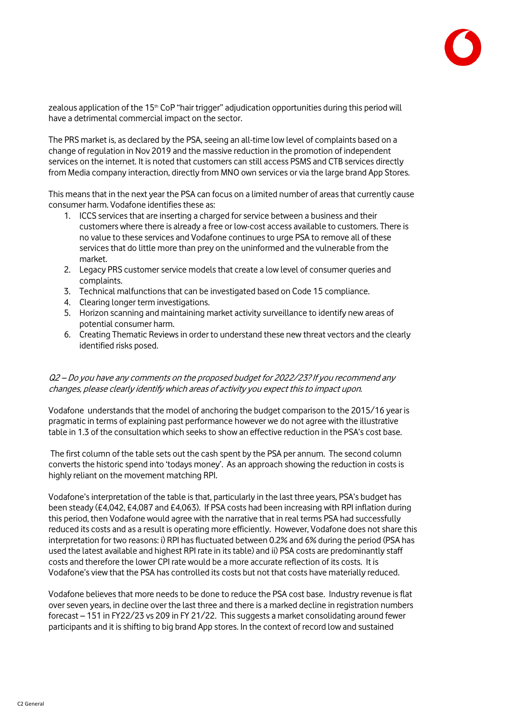

zealous application of the 15<sup>th</sup> CoP "hair trigger" adjudication opportunities during this period will have a detrimental commercial impact on the sector.

The PRS market is, as declared by the PSA, seeing an all-time low level of complaints based on a change of regulation in Nov 2019 and the massive reduction in the promotion of independent services on the internet. It is noted that customers can still access PSMS and CTB services directly from Media company interaction, directly from MNO own services or via the large brand App Stores.

This means that in the next year the PSA can focus on a limited number of areas that currently cause consumer harm. Vodafone identifies these as:

- 1. ICCS services that are inserting a charged for service between a business and their customers where there is already a free or low-cost access available to customers. There is no value to these services and Vodafone continues to urge PSA to remove all of these services that do little more than prey on the uninformed and the vulnerable from the market.
- 2. Legacy PRS customer service models that create a low level of consumer queries and complaints.
- 3. Technical malfunctions that can be investigated based on Code 15 compliance.
- 4. Clearing longer term investigations.
- 5. Horizon scanning and maintaining market activity surveillance to identify new areas of potential consumer harm.
- 6. Creating Thematic Reviews in order to understand these new threat vectors and the clearly identified risks posed.

#### Q2 – Do you have any comments on the proposed budget for 2022/23? If you recommend any changes, please clearly identify which areas of activity you expect this to impact upon.

Vodafone understands that the model of anchoring the budget comparison to the 2015/16 year is pragmatic in terms of explaining past performance however we do not agree with the illustrative table in 1.3 of the consultation which seeks to show an effective reduction in the PSA's cost base.

The first column of the table sets out the cash spent by the PSA per annum. The second column converts the historic spend into 'todays money'. As an approach showing the reduction in costs is highly reliant on the movement matching RPI.

Vodafone's interpretation of the table is that, particularly in the last three years, PSA's budget has been steady (£4,042, £4,087 and £4,063). If PSA costs had been increasing with RPI inflation during this period, then Vodafone would agree with the narrative that in real terms PSA had successfully reduced its costs and as a result is operating more efficiently. However, Vodafone does not share this interpretation for two reasons: i) RPI has fluctuated between 0.2% and 6% during the period (PSA has used the latest available and highest RPI rate in its table) and ii) PSA costs are predominantly staff costs and therefore the lower CPI rate would be a more accurate reflection of its costs. It is Vodafone's view that the PSA has controlled its costs but not that costs have materially reduced.

Vodafone believes that more needs to be done to reduce the PSA cost base. Industry revenue is flat over seven years, in decline over the last three and there is a marked decline in registration numbers forecast – 151 in FY22/23 vs 209 in FY 21/22. This suggests a market consolidating around fewer participants and it is shifting to big brand App stores. In the context of record low and sustained